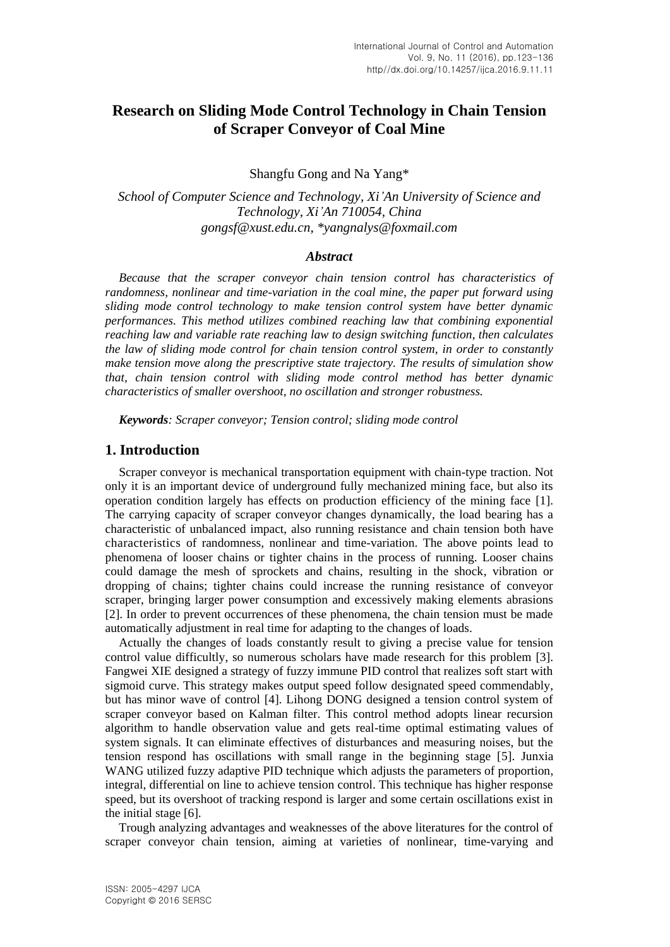# **Research on Sliding Mode Control Technology in Chain Tension of Scraper Conveyor of Coal Mine**

Shangfu Gong and Na Yang\*

*School of Computer Science and Technology, Xi'An University of Science and Technology, Xi'An 710054, China [gongsf@xust.edu.cn,](mailto:gongsf@xust.edu.cn) [\\*yangnalys@foxmail.com](mailto:yangnalys@foxmail.com*)*

#### *Abstract*

*Because that the scraper conveyor chain tension control has characteristics of randomness, nonlinear and time-variation in the coal mine, the paper put forward using sliding mode control technology to make tension control system have better dynamic performances. This method utilizes combined reaching law that combining exponential reaching law and variable rate reaching law to design switching function, then calculates the law of sliding mode control for chain tension control system, in order to constantly make tension move along the prescriptive state trajectory. The results of simulation show that, chain tension control with sliding mode control method has better dynamic characteristics of smaller overshoot, no oscillation and stronger robustness.*

*Keywords: Scraper conveyor; Tension control; sliding mode control*

# **1. Introduction**

Scraper conveyor is mechanical transportation equipment with chain-type traction. Not only it is an important device of underground fully mechanized mining face, but also its operation condition largely has effects on production efficiency of the mining face [1]. The carrying capacity of scraper conveyor changes dynamically, the load bearing has a characteristic of unbalanced impact, also running resistance and chain tension both have characteristics of randomness, nonlinear and time-variation. The above points lead to phenomena of looser chains or tighter chains in the process of running. Looser chains could damage the mesh of sprockets and chains, resulting in the shock, vibration or dropping of chains; tighter chains could increase the running resistance of conveyor scraper, bringing larger power consumption and excessively making elements abrasions [2]. In order to prevent occurrences of these phenomena, the chain tension must be made automatically adjustment in real time for adapting to the changes of loads.

Actually the changes of loads constantly result to giving a precise value for tension control value difficultly, so numerous scholars have made research for this problem [3]. Fangwei XIE designed a strategy of fuzzy immune PID control that realizes soft start with sigmoid curve. This strategy makes output speed follow designated speed commendably, but has minor wave of control [4]. Lihong DONG designed a tension control system of scraper conveyor based on Kalman filter. This control method adopts linear recursion algorithm to handle observation value and gets real-time optimal estimating values of system signals. It can eliminate effectives of disturbances and measuring noises, but the tension respond has oscillations with small range in the beginning stage [5]. Junxia WANG utilized fuzzy adaptive PID technique which adjusts the parameters of proportion, integral, differential on line to achieve tension control. This technique has higher response speed, but its overshoot of tracking respond is larger and some certain oscillations exist in the initial stage [6].

Trough analyzing advantages and weaknesses of the above literatures for the control of scraper conveyor chain tension, aiming at varieties of nonlinear, time-varying and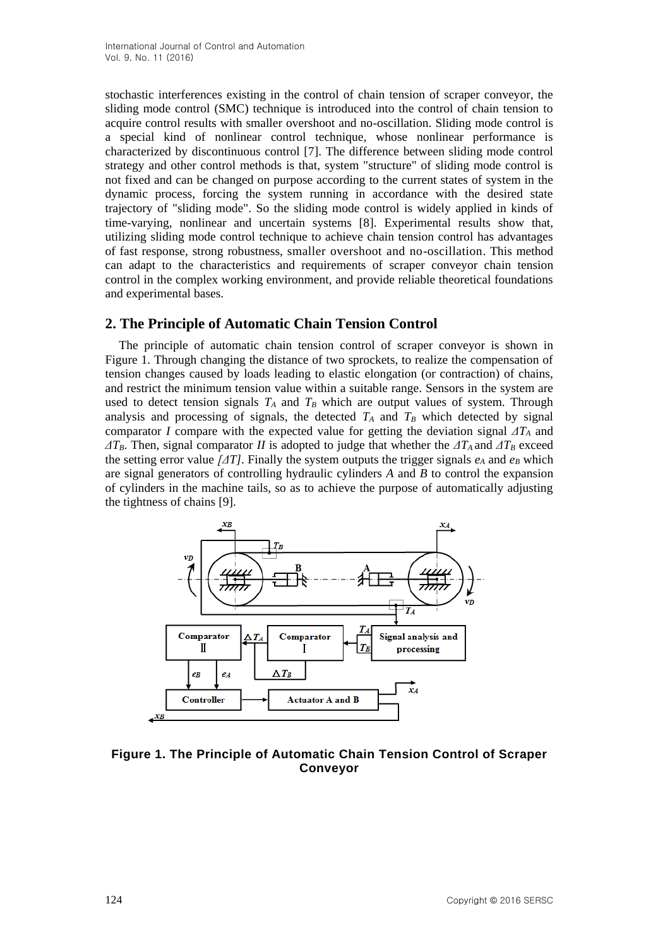stochastic interferences existing in the control of chain tension of scraper conveyor, the sliding mode control (SMC) technique is introduced into the control of chain tension to acquire control results with smaller overshoot and no-oscillation. Sliding mode control is a special kind of nonlinear control technique, whose nonlinear performance is characterized by discontinuous control [7]. The difference between sliding mode control strategy and other control methods is that, system "structure" of sliding mode control is not fixed and can be changed on purpose according to the current states of system in the dynamic process, forcing the system running in accordance with the desired state trajectory of "sliding mode". So the sliding mode control is widely applied in kinds of time-varying, nonlinear and uncertain systems [8]. Experimental results show that, utilizing sliding mode control technique to achieve chain tension control has advantages of fast response, strong robustness, smaller overshoot and no-oscillation. This method can adapt to the characteristics and requirements of scraper conveyor chain tension control in the complex working environment, and provide reliable theoretical foundations and experimental bases.

# **2. The Principle of Automatic Chain Tension Control**

The principle of automatic chain tension control of scraper conveyor is shown in Figure 1. Through changing the distance of two sprockets, to realize the compensation of tension changes caused by loads leading to elastic elongation (or contraction) of chains, and restrict the minimum tension value within a suitable range. Sensors in the system are used to detect tension signals  $T_A$  and  $T_B$  which are output values of system. Through analysis and processing of signals, the detected  $T_A$  and  $T_B$  which detected by signal comparator *I* compare with the [expected value](http://dict.cnki.net/dict_result.aspx?searchword=%e6%9c%9f%e6%9c%9b%e5%80%bc&tjType=sentence&style=&t=expected+value) for getting the deviation signal *ΔT<sup>A</sup>* and  $\Delta T_B$ . Then, signal comparator *II* is adopted to judge that whether the  $\Delta T_A$  and  $\Delta T_B$  exceed the setting error value  $\Delta T$ . Finally the system outputs the trigger signals  $e_A$  and  $e_B$  which are signal generators of controlling hydraulic cylinders *A* and *B* to control the [expansion](javascript:showjdsw() of cylinders in the machine tails, so as to achieve the purpose of automatically adjusting the tightness of chains [9].



**Figure 1. The Principle of Automatic Chain Tension Control of Scraper Conveyor**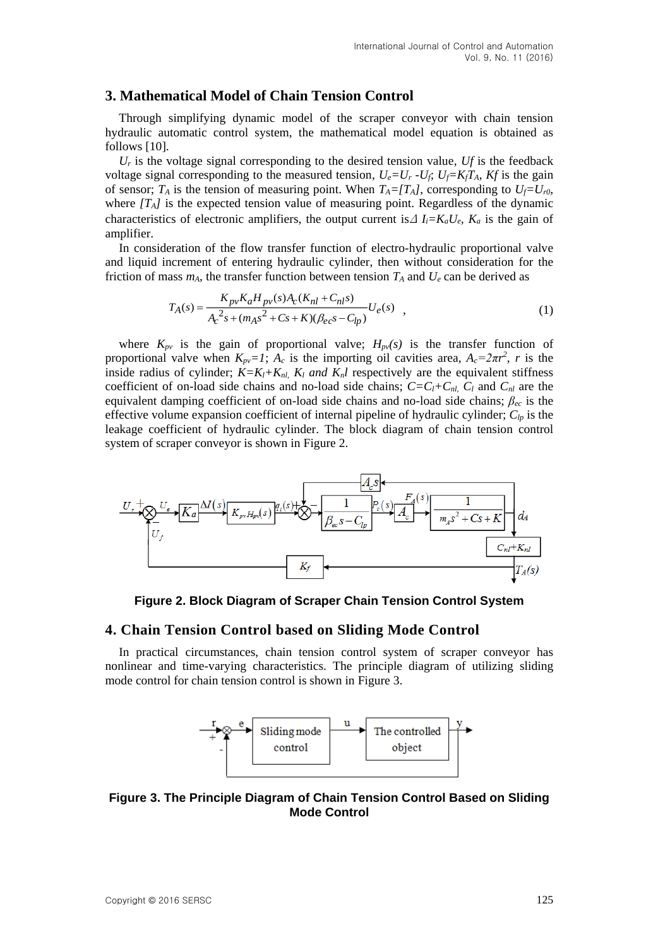# **3. Mathematical Model of Chain Tension Control**

Through simplifying dynamic model of the scraper conveyor with chain tension hydraulic automatic control system, the mathematical model equation is obtained as follows [10].

 $U_r$  is the voltage signal corresponding to the desired tension value,  $U_f$  is the feedback voltage signal corresponding to the measured tension,  $U_e = U_r - U_f$ ;  $U_f = K_f T_A$ ,  $K_f$  is the gain of sensor;  $T_A$  is the tension of [measuring point.](http://dict.cnki.net/dict_result.aspx?searchword=%e6%b5%8b%e7%82%b9&tjType=sentence&style=&t=measuring+point) When  $T_A = [T_A]$ , corresponding to  $U_f = U_{r0}$ , where  $[T_A]$  is the expected tension value of [measuring point.](http://dict.cnki.net/dict_result.aspx?searchword=%e6%b5%8b%e7%82%b9&tjType=sentence&style=&t=measuring+point) Regardless of the dynamic characteristics of electronic amplifiers, the output current is  $\Delta I_i = K_a U_e$ ,  $K_a$  is the gain of amplifier.

In consideration of the flow transfer function of electro-hydraulic proportional valve and liquid increment of entering hydraulic cylinder, then without consideration for the friction of mass  $m_A$ , the transfer function between tension  $T_A$  and  $U_e$  can be derived as

$$
T_A(s) = \frac{K_{pv}K_aH_{pv}(s)A_c(K_{nl} + C_{nl}s)}{A_c^2s + (m_A s^2 + Cs + K)(\beta_{ec}s - C_{lp})}U_e(s) ,
$$
\n(1)

where  $K_{pv}$  is the gain of proportional valve;  $H_{pv}(s)$  is the transfer function of proportional valve when  $K_{pv} = 1$ ;  $A_c$  is the importing oil cavities area,  $A_c = 2\pi r^2$ , r is the inside radius of cylinder;  $K = K_l + K_{nl}$ ,  $K_l$  *and*  $K_n l$  respectively are the equivalent stiffness coefficient of on-load side chains and no-load side chains;  $C = C_l + C_{nl}$ ,  $C_l$  and  $C_{nl}$  are the equivalent damping coefficient of on-load side chains and no-load side chains; *βec* is the [effective](http://dict.cnki.net/dict_result.aspx?searchword=%e6%9c%89%e6%95%88&tjType=sentence&style=&t=effective) [volume](http://dict.cnki.net/dict_result.aspx?searchword=%e4%bd%93%e7%a7%af&tjType=sentence&style=&t=volume) [expansion coefficient](javascript:showjdsw() of internal pipeline of hydraulic cylinder; *Clp* is the leakage coefficient of hydraulic cylinder. The block diagram of chain tension control system of scraper conveyor is shown in Figure 2.



**Figure 2. Block Diagram of Scraper Chain Tension Control System**

#### **4. Chain Tension Control based on Sliding Mode Control**

In practical circumstances, chain tension control system of scraper conveyor has nonlinear and time-varying characteristics. The principle diagram of utilizing sliding mode control for chain tension control is shown in Figure 3.



**Figure 3. The Principle Diagram of Chain Tension Control Based on Sliding Mode Control**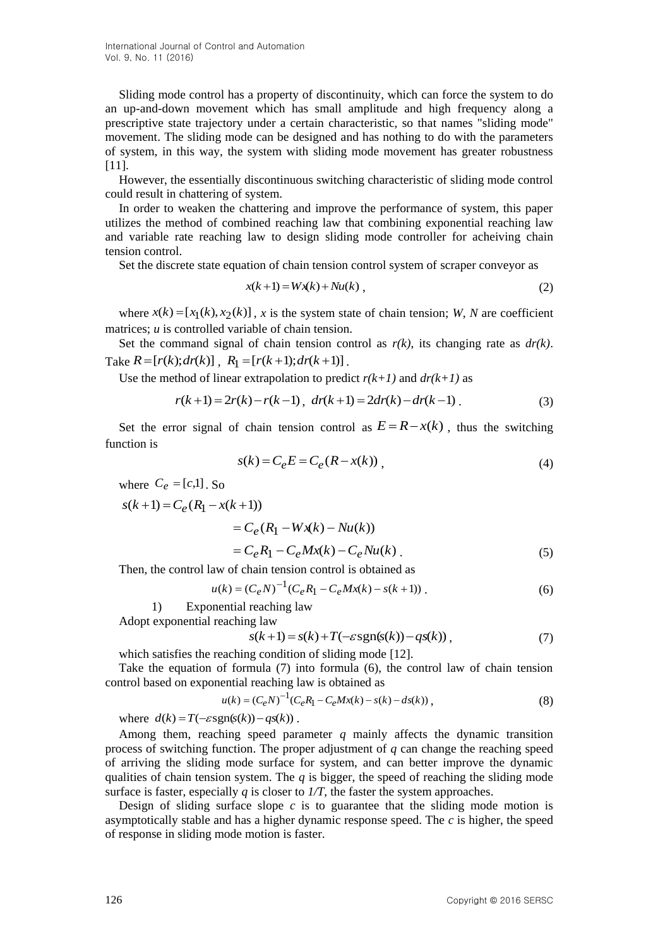International Journal of Control and Automation Vol. 9, No. 11 (2016)

Sliding mode control has a property of discontinuity, which can force the system to do an up-and-down movement which has small amplitude and high frequency along a prescriptive state trajectory under a certain characteristic, so that names "sliding mode" movement. The sliding mode can be designed and has nothing to do with the parameters of system, in this way, the system with sliding mode movement has greater robustness [11].

However, the essentially discontinuous switching characteristic of sliding mode control could result in chattering of system.

In order to weaken the chattering and improve the performance of system, this paper utilizes the method of combined reaching law that combining exponential reaching law and variable rate reaching law to design sliding mode controller for acheiving chain tension control.

Set the discrete state equation of chain tension control system of scraper conveyor as

$$
x(k+1) = Wx(k) + Nu(k) , \qquad (2)
$$

where  $x(k) = [x_1(k), x_2(k)]$ , x is the system state of chain tension; *W*, *N* are coefficient matrices: *u* is controlled variable of chain tension.

Set the command signal of chain tension control as  $r(k)$ , its changing rate as  $dr(k)$ . Take  $R = [r(k); dr(k)]$ ,  $R_1 = [r(k+1); dr(k+1)]$ .

Use the method of linear extrapolation to predict  $r(k+1)$  and  $dr(k+1)$  as

$$
r(k+1) = 2r(k) - r(k-1), \ \ dr(k+1) = 2dr(k) - dr(k-1) \ . \tag{3}
$$

Set the error signal of chain tension control as  $E = R - x(k)$ , thus the switching function is

$$
s(k) = C_e E = C_e (R - x(k)), \qquad (4)
$$

where  $C_e = [c,1]$ . So

$$
s(k+1) = C_e (R_1 - x(k+1))
$$
  
=  $C_e (R_1 - Wx(k) - Nu(k))$   
=  $C_e R_1 - C_e Mx(k) - C_e Nu(k)$ . (5)

Then, the control law of chain tension control is obtained as

$$
u(k) = (C_e N)^{-1} (C_e R_1 - C_e M x(k) - s(k+1))
$$
\n(6)

1) Exponential reaching law Adopt exponential reaching law

$$
s(k+1) = s(k) + T(-\varepsilon sgn(s(k)) - qs(k)),
$$
\n<sup>(7)</sup>

which satisfies the reaching condition of sliding mode [12].

Take the equation of formula (7) into formula (6), the control law of chain tension control based on exponential reaching law is obtained as

$$
u(k) = (C_e N)^{-1} (C_e R_1 - C_e M x(k) - s(k) - ds(k)),
$$
\n(8)

where  $d(k) = T(-\varepsilon \text{sgn}(s(k)) - qs(k))$ .

Among them, reaching speed parameter *q* mainly affects the dynamic transition process of switching function. The proper adjustment of *q* can change the reaching speed of arriving the sliding mode surface for system, and can better improve the dynamic qualities of chain tension system. The  $q$  is bigger, the speed of reaching the sliding mode surface is faster, especially  $q$  is closer to  $1/T$ , the faster the system approaches.

Design of sliding surface slope  $c$  is to guarantee that the sliding mode motion is asymptotically stable and has a higher dynamic response speed. The *c* is higher, the speed of response in sliding mode motion is faster.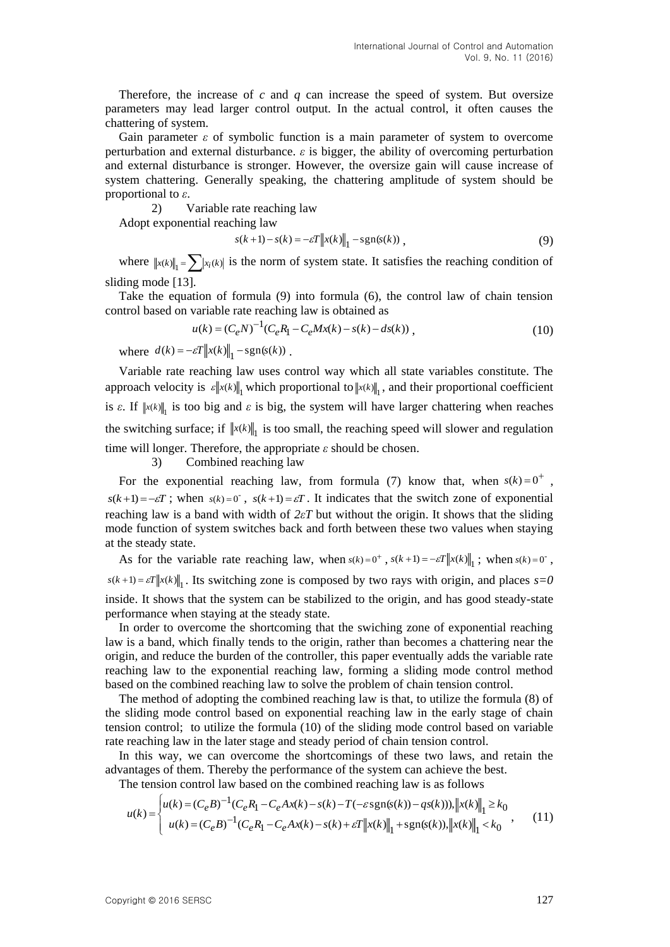Therefore, the increase of *c* and *q* can increase the speed of system. But oversize parameters may lead larger control output. In the actual control, it often causes the chattering of system.

Gain parameter *ε* of symbolic function is a main parameter of system to overcome perturbation and external disturbance. *ε* is bigger, the ability of overcoming perturbation and external disturbance is stronger. However, the oversize gain will cause increase of system chattering. Generally speaking, the chattering amplitude of system should be proportional to *ε*.

2) Variable rate reaching law

Adopt exponential reaching law

$$
s(k+1) - s(k) = -\varepsilon T \|x(k)\|_1 - \text{sgn}(s(k)),
$$
\n(9)

where  $\|x(k)\|_1 = \sum |x_i(k)|$  is the norm of system state. It satisfies the reaching condition of sliding mode [13].

Take the equation of formula (9) into formula (6), the control law of chain tension control based on variable rate reaching law is obtained as

$$
u(k) = (C_e N)^{-1} (C_e R_1 - C_e M x(k) - s(k) - ds(k)),
$$
\n(10)

where  $d(k) = -\varepsilon T \|x(k)\|_1 - \operatorname{sgn}(s(k))$ .

Variable rate reaching law uses control way which all state variables constitute. The approach velocity is  $\mathcal{E} \|x(k)\|_1$  which proportional to  $\|x(k)\|_1$ , and their proportional coefficient is  $\varepsilon$ . If  $\|x(k)\|_1$  is too big and  $\varepsilon$  is big, the system will have larger chattering when reaches the switching surface; if  $\Vert x(k) \Vert_1$  is too small, the reaching speed will slower and regulation time will longer. Therefore, the appropriate *ε* should be chosen.

3) Combined reaching law

For the exponential reaching law, from formula (7) know that, when  $s(k) = 0^+$ ,  $s(k+1) = -\varepsilon T$ ; when  $s(k) = 0$ ,  $s(k+1) = \varepsilon T$ . It indicates that the switch zone of exponential reaching law is a band with width of *2εT* but without the origin. It shows that the sliding mode function of system switches back and forth between these two values when staying at the steady state.

As for the variable rate reaching law, when  $s(k) = 0^+$ ,  $s(k+1) = -\varepsilon T ||x(k)||_1$ ; when  $s(k) = 0^-$ ,  $s(k+1) = \varepsilon T \|x(k)\|_1$ . Its switching zone is composed by two rays with origin, and places  $s = 0$ inside. It shows that the system can be stabilized to the origin, and has good steady-state performance when staying at the steady state.

In order to overcome the shortcoming that the swiching zone of exponential reaching law is a band, which finally tends to the origin, rather than becomes a chattering near the origin, and reduce the burden of the controller, this paper eventually adds the variable rate reaching law to the exponential reaching law, forming a sliding mode control method based on the combined reaching law to solve the problem of chain tension control.

The method of adopting the combined reaching law is that, to utilize the formula (8) of the sliding mode control based on exponential reaching law in the early stage of chain tension control; to utilize the formula (10) of the sliding mode control based on variable rate reaching law in the later stage and steady period of chain tension control.

In this way, we can overcome the shortcomings of these two laws, and retain the advantages of them. Thereby the performance of the system can achieve the best.

The tension control law based on the combined reaching law is as follows

$$
u(k) = \begin{cases} u(k) = (C_e B)^{-1} (C_e R_1 - C_e A x(k) - s(k) - T(-\varepsilon s g n(s(k)) - q s(k))), ||x(k)||_1 \ge k_0 \\ u(k) = (C_e B)^{-1} (C_e R_1 - C_e A x(k) - s(k) + \varepsilon T ||x(k)||_1 + s g n(s(k)), ||x(k)||_1 < k_0 \end{cases}
$$
 (11)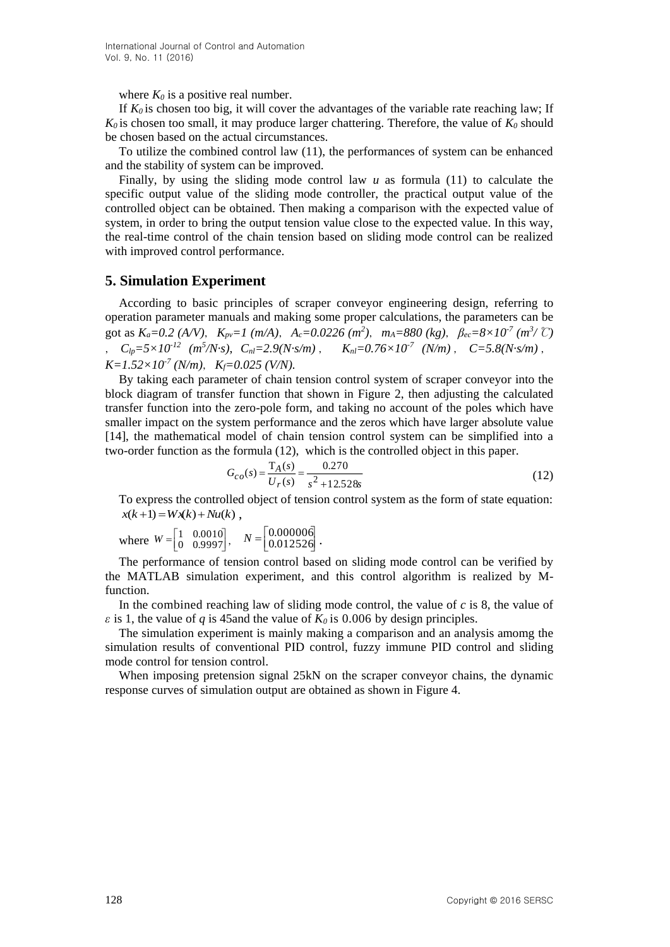where  $K_0$  is a positive real number.

If  $K_0$  is chosen too big, it will cover the advantages of the variable rate reaching law; If  $K_0$  is chosen too small, it may produce larger chattering. Therefore, the value of  $K_0$  should be chosen based on the actual circumstances.

To utilize the combined control law (11), the performances of system can be enhanced and the stability of system can be improved.

Finally, by using the sliding mode control law  $u$  as formula (11) to calculate the specific output value of the sliding mode controller, the practical output value of the controlled object can be obtained. Then making a comparison with the expected value of system, in order to bring the output tension value close to the expected value. In this way, the real-time control of the chain tension based on sliding mode control can be realized with improved control performance.

# **5. Simulation Experiment**

According to basic principles of scraper conveyor engineering design, referring to operation parameter manuals and making some proper calculations, the parameters can be got as  $K_a=0.2$  (A/V),  $K_{pv}=1$  (m/A),  $A_c=0.0226$  (m<sup>2</sup>),  $m_A=880$  (kg),  $\beta_{ec}=8\times 10^{-7}$  (m<sup>3</sup>/ °C)  $C_{lp} = 5 \times 10^{-12}$   $(m^5/N \text{ s})$ ,  $C_{nl} = 2.9(N \text{ s/m})$ ,  $K_{nl} = 0.76 \times 10^{-7}$   $(N/m)$ ,  $C = 5.8(N \text{ s/m})$ ,  $K=1.52\times10^{-7}$  (N/m),  $K_f=0.025$  (V/N).

By taking each parameter of chain tension control system of scraper conveyor into the block diagram of transfer function that shown in Figure 2, then adjusting the calculated transfer function into the zero-pole form, and taking no account of the poles which have smaller impact on the system performance and the zeros which have larger absolute value [14], the mathematical model of chain tension control system can be simplified into a two-order function as the formula (12), which is the controlled object in this paper.

$$
G_{co}(s) = \frac{T_A(s)}{U_r(s)} = \frac{0.270}{s^2 + 12.528s}
$$
\n(12)

To express the controlled object of tension control system as the form of state equation:  $x(k+1) = Wx(k) + Nu(k)$ .

where 
$$
W = \begin{bmatrix} 1 & 0.0010 \\ 0 & 0.9997 \end{bmatrix}
$$
,  $N = \begin{bmatrix} 0.0000006 \\ 0.012526 \end{bmatrix}$ .

The performance of tension control based on sliding mode control can be verified by the MATLAB simulation experiment, and this control algorithm is realized by Mfunction.

In the combined reaching law of sliding mode control, the value of *c* is 8, the value of *ε* is 1, the value of *q* is 45 and the value of  $K_0$  is 0.006 by design principles.

The simulation experiment is mainly making a comparison and an analysis amomg the simulation results of conventional PID control, fuzzy immune PID control and sliding mode control for tension control.

When imposing pretension signal 25kN on the scraper conveyor chains, the dynamic response curves of simulation output are obtained as shown in Figure 4.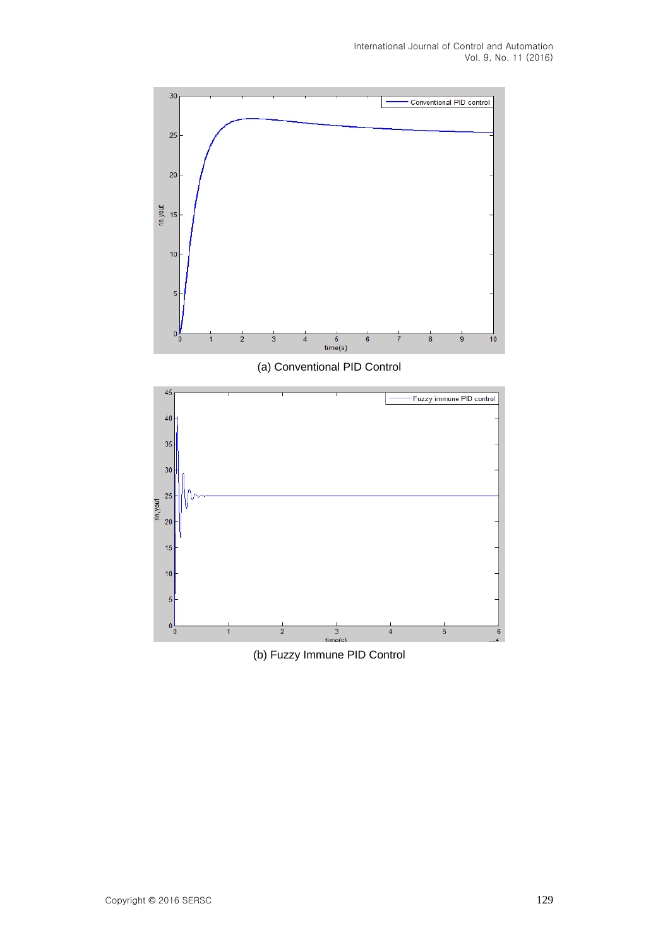

(b) Fuzzy Immune PID Control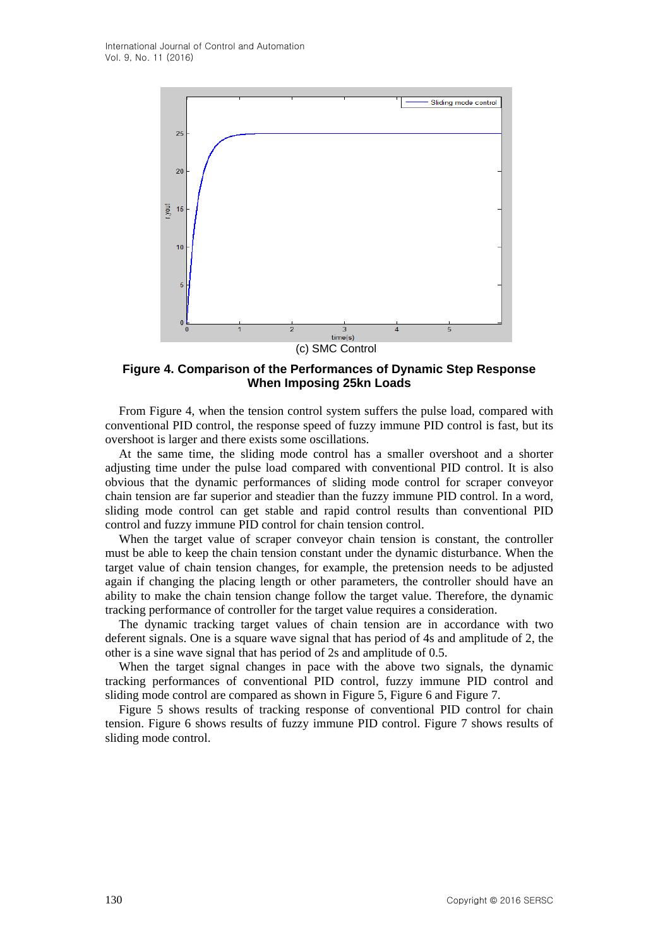

**Figure 4. Comparison of the Performances of Dynamic Step Response When Imposing 25kn Loads**

From Figure 4, when the tension control system suffers the pulse load, compared with conventional PID control, the response speed of fuzzy immune PID control is fast, but its overshoot is larger and there exists some oscillations.

At the same time, the sliding mode control has a smaller overshoot and a shorter adjusting time under the pulse load compared with conventional PID control. It is also obvious that the dynamic performances of sliding mode control for scraper conveyor chain tension are far superior and steadier than the fuzzy immune PID control. In a word, sliding mode control can get stable and rapid control results than conventional PID control and fuzzy immune PID control for chain tension control.

When the target value of scraper conveyor chain tension is constant, the controller must be able to keep the chain tension constant under the dynamic disturbance. When the target value of chain tension changes, for example, the pretension needs to be adjusted again if changing the placing length or other parameters, the controller should have an ability to make the chain tension change follow the target value. Therefore, the dynamic tracking performance of controller for the target value requires a consideration.

The dynamic tracking target values of chain tension are in accordance with two deferent signals. One is a square wave signal that has period of 4s and amplitude of 2, the other is a sine wave signal that has period of 2s and amplitude of 0.5.

When the target signal changes in pace with the above two signals, the dynamic tracking performances of conventional PID control, fuzzy immune PID control and sliding mode control are compared as shown in Figure 5, Figure 6 and Figure 7.

Figure 5 shows results of tracking response of conventional PID control for chain tension. Figure 6 shows results of fuzzy immune PID control. Figure 7 shows results of sliding mode control.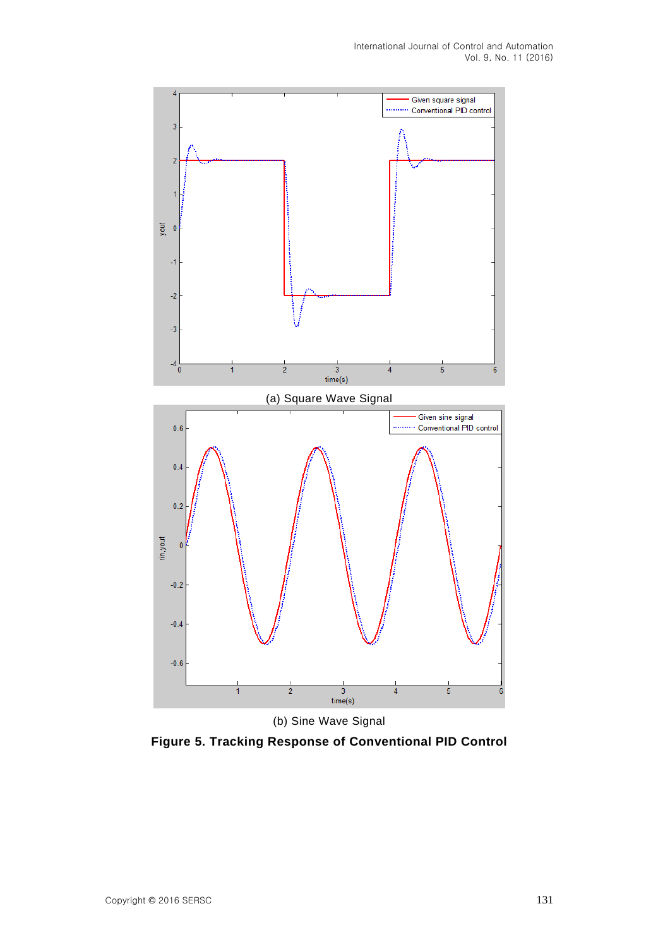

**Figure 5. Tracking Response of Conventional PID Control**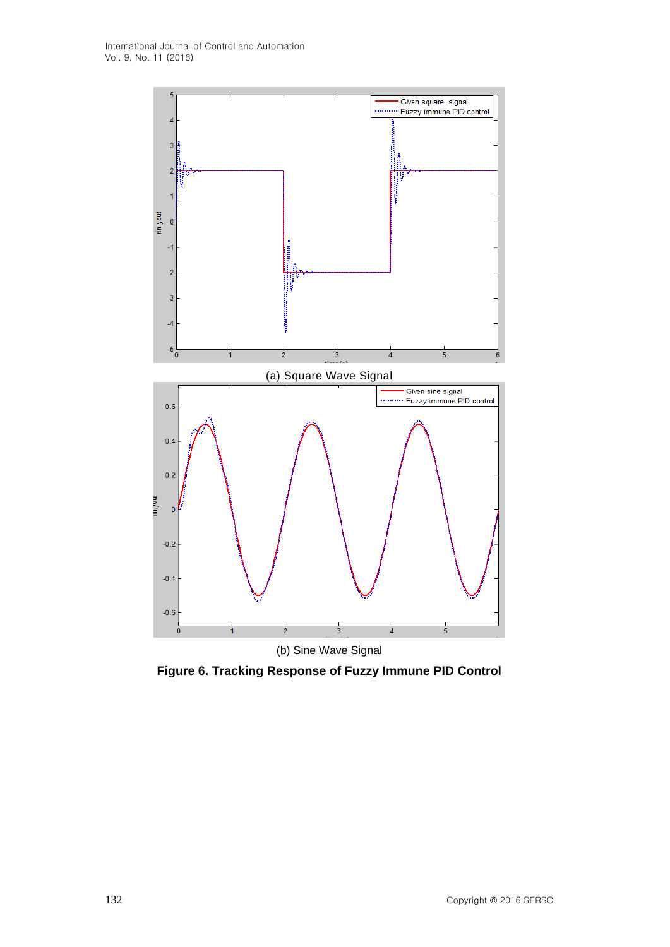

**Figure 6. Tracking Response of Fuzzy Immune PID Control**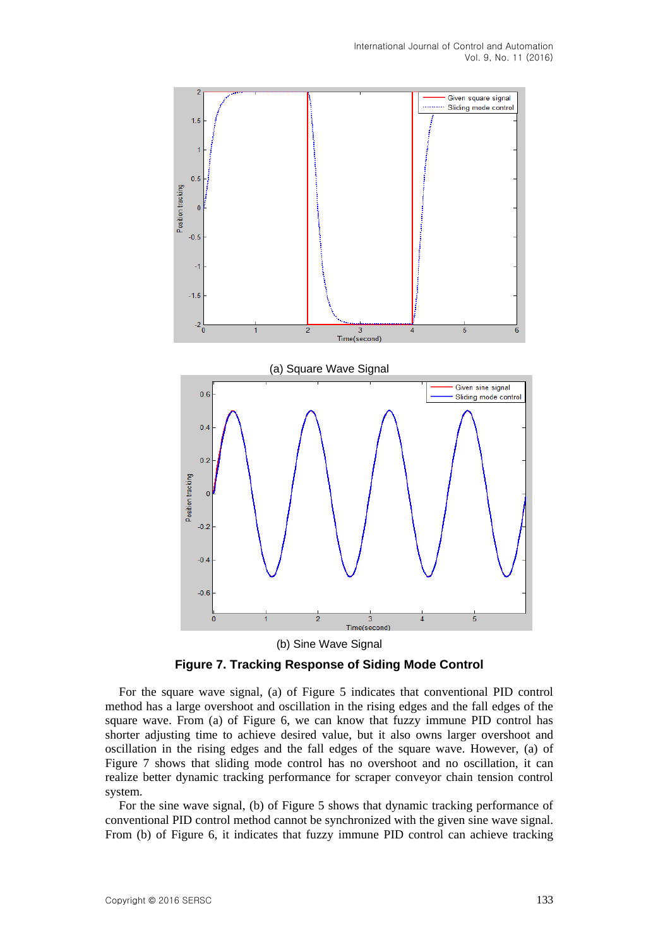

**Figure 7. Tracking Response of Siding Mode Control**

For the square wave signal, (a) of Figure 5 indicates that conventional PID control method has a large overshoot and oscillation in the rising edges and the fall edges of the square wave. From (a) of Figure 6, we can know that fuzzy immune PID control has shorter adjusting time to achieve desired value, but it also owns larger overshoot and oscillation in the rising edges and the fall edges of the square wave. However, (a) of Figure 7 shows that sliding mode control has no overshoot and no oscillation, it can realize better dynamic tracking performance for scraper conveyor chain tension control system.

For the sine wave signal, (b) of Figure 5 shows that dynamic tracking performance of conventional PID control method cannot be synchronized with the given sine wave signal. From (b) of Figure 6, it indicates that fuzzy immune PID control can achieve tracking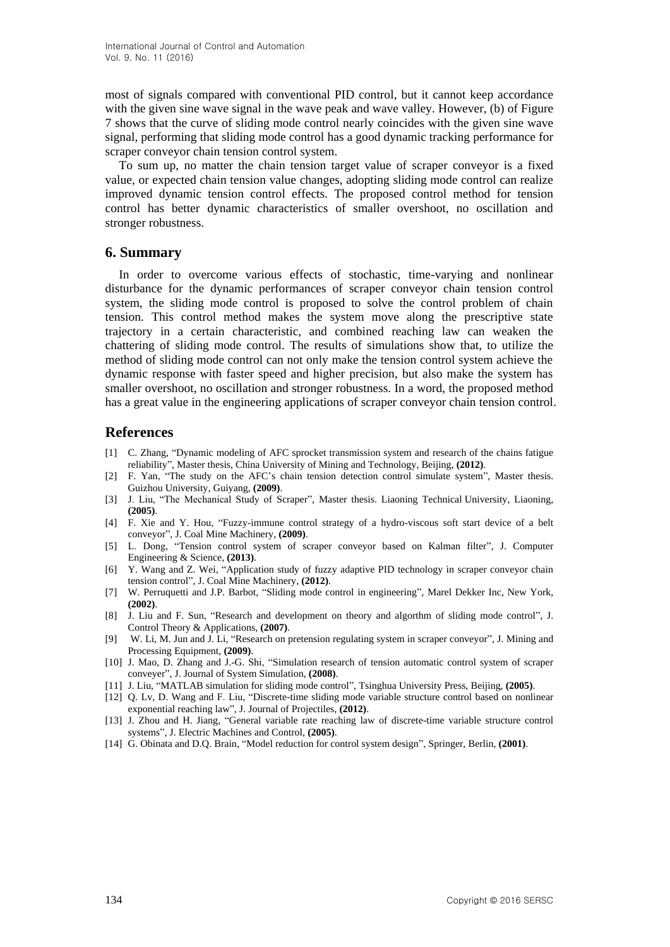most of signals compared with conventional PID control, but it cannot keep accordance with the given sine wave signal in the wave peak and wave valley. However, (b) of Figure 7 shows that the curve of sliding mode control nearly coincides with the given sine wave signal, performing that sliding mode control has a good dynamic tracking performance for scraper conveyor chain tension control system.

To sum up, no matter the chain tension target value of scraper conveyor is a fixed value, or expected chain tension value changes, adopting sliding mode control can realize improved dynamic tension control effects. The proposed control method for tension control has better dynamic characteristics of smaller overshoot, no oscillation and stronger robustness.

# **6. Summary**

In order to overcome various effects of stochastic, time-varying and nonlinear disturbance for the dynamic performances of scraper conveyor chain tension control system, the sliding mode control is proposed to solve the control problem of chain tension. This control method makes the system move along the prescriptive state trajectory in a certain characteristic, and combined reaching law can weaken the chattering of sliding mode control. The results of simulations show that, to utilize the method of sliding mode control can not only make the tension control system achieve the dynamic response with faster speed and higher precision, but also make the system has smaller overshoot, no oscillation and stronger robustness. In a word, the proposed method has a great value in the engineering applications of scraper conveyor chain tension control.

# **References**

- [1] C. Zhang, "Dynamic modeling of AFC sprocket transmission system and research of the chains fatigue reliability", Master thesis, China University of Mining and Technology, Beijing, **(2012)**.
- [2] F. Yan, "The study on the AFC's chain tension detection control simulate system", Master thesis. Guizhou University, Guiyang, **(2009)**.
- [3] J. Liu, "The Mechanical Study of Scraper", Master thesis. Liaoning Technical University, Liaoning, **(2005)**.
- [4] F. Xie and Y. Hou, "Fuzzy-immune control strategy of a hydro-viscous soft start device of a belt conveyor", J. Coal Mine Machinery, **(2009)**.
- [5] L. Dong, "Tension control system of scraper conveyor based on Kalman filter", J. Computer Engineering & Science, **(2013)**.
- [6] Y. Wang and Z. Wei, "Application study of fuzzy adaptive PID technology in scraper conveyor chain tension control", J. Coal Mine Machinery, **(2012)**.
- [7] W. Perruquetti and J.P. Barbot, "Sliding mode control in engineering", Marel Dekker Inc, New York, **(2002)**.
- [8] J. Liu and F. Sun, "Research and development on theory and algorthm of sliding mode control", J. Control Theory & Applications, **(2007)**.
- [9] W. Li, M. Jun and J. Li, "Research on pretension regulating system in scraper conveyor", J. Mining and Processing Equipment, **(2009)**.
- [10] J. Mao, D. Zhang and J.-G. Shi, "Simulation research of tension automatic control system of scraper conveyer", J. Journal of System Simulation, **(2008)**.
- [11] J. Liu, "MATLAB simulation for sliding mode control", Tsinghua University Press, Beijing, **(2005)**.
- [12] Q. Lv, D. Wang and F. Liu, "Discrete-time sliding mode variable structure control based on nonlinear exponential reaching law", J. Journal of Projectiles, **(2012)**.
- [13] J. Zhou and H. Jiang, "General variable rate reaching law of discrete-time variable structure control systems", J. Electric Machines and Control, **(2005)**.
- [14] G. Obinata and D.Q. Brain, "Model reduction for control system design", Springer, Berlin, **(2001)**.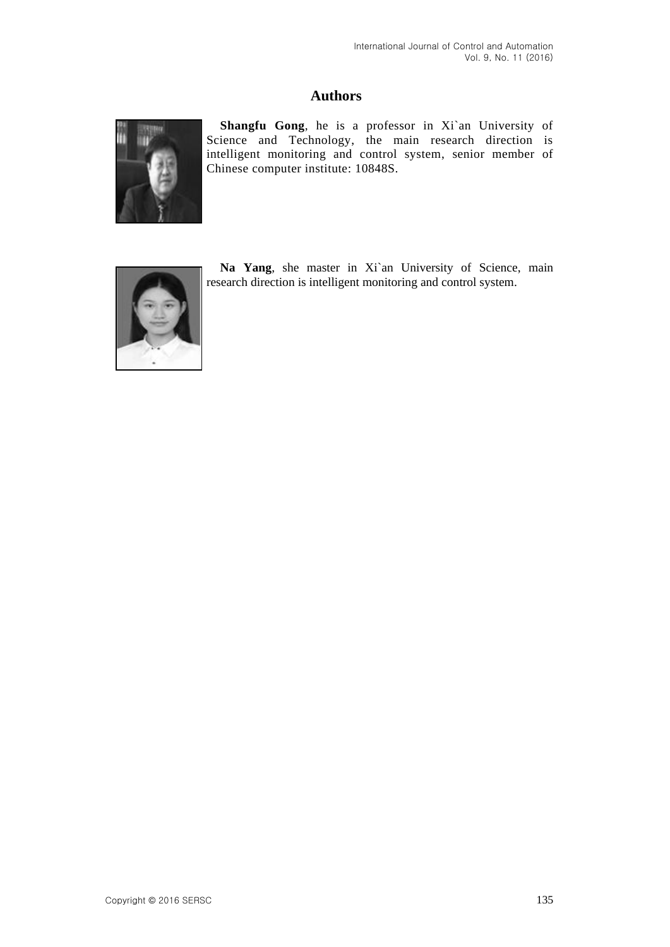# **Authors**



**Shangfu Gong**, he is a professor in Xi`an University of Science and Technology, the main research direction is intelligent monitoring and control system, senior member of Chinese computer institute: 10848S.



**Na Yang**, she master in Xi`an University of Science, main research direction is intelligent monitoring and control system.